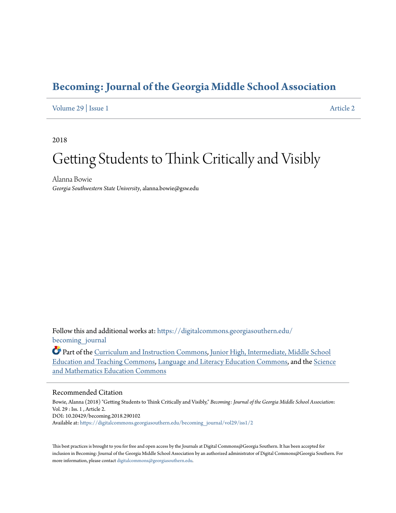# **[Becoming: Journal of the Georgia Middle School Association](https://digitalcommons.georgiasouthern.edu/becoming_journal?utm_source=digitalcommons.georgiasouthern.edu%2Fbecoming_journal%2Fvol29%2Fiss1%2F2&utm_medium=PDF&utm_campaign=PDFCoverPages)**

# [Volume 29](https://digitalcommons.georgiasouthern.edu/becoming_journal/vol29?utm_source=digitalcommons.georgiasouthern.edu%2Fbecoming_journal%2Fvol29%2Fiss1%2F2&utm_medium=PDF&utm_campaign=PDFCoverPages) | [Issue 1](https://digitalcommons.georgiasouthern.edu/becoming_journal/vol29/iss1?utm_source=digitalcommons.georgiasouthern.edu%2Fbecoming_journal%2Fvol29%2Fiss1%2F2&utm_medium=PDF&utm_campaign=PDFCoverPages) [Article 2](https://digitalcommons.georgiasouthern.edu/becoming_journal/vol29/iss1/2?utm_source=digitalcommons.georgiasouthern.edu%2Fbecoming_journal%2Fvol29%2Fiss1%2F2&utm_medium=PDF&utm_campaign=PDFCoverPages)

2018

# Getting Students to Think Critically and Visibly

Alanna Bowie *Georgia Southwestern State University*, alanna.bowie@gsw.edu

Follow this and additional works at: [https://digitalcommons.georgiasouthern.edu/](https://digitalcommons.georgiasouthern.edu/becoming_journal?utm_source=digitalcommons.georgiasouthern.edu%2Fbecoming_journal%2Fvol29%2Fiss1%2F2&utm_medium=PDF&utm_campaign=PDFCoverPages) becoming journal

Part of the [Curriculum and Instruction Commons](http://network.bepress.com/hgg/discipline/786?utm_source=digitalcommons.georgiasouthern.edu%2Fbecoming_journal%2Fvol29%2Fiss1%2F2&utm_medium=PDF&utm_campaign=PDFCoverPages), [Junior High, Intermediate, Middle School](http://network.bepress.com/hgg/discipline/807?utm_source=digitalcommons.georgiasouthern.edu%2Fbecoming_journal%2Fvol29%2Fiss1%2F2&utm_medium=PDF&utm_campaign=PDFCoverPages) [Education and Teaching Commons,](http://network.bepress.com/hgg/discipline/807?utm_source=digitalcommons.georgiasouthern.edu%2Fbecoming_journal%2Fvol29%2Fiss1%2F2&utm_medium=PDF&utm_campaign=PDFCoverPages) [Language and Literacy Education Commons,](http://network.bepress.com/hgg/discipline/1380?utm_source=digitalcommons.georgiasouthern.edu%2Fbecoming_journal%2Fvol29%2Fiss1%2F2&utm_medium=PDF&utm_campaign=PDFCoverPages) and the [Science](http://network.bepress.com/hgg/discipline/800?utm_source=digitalcommons.georgiasouthern.edu%2Fbecoming_journal%2Fvol29%2Fiss1%2F2&utm_medium=PDF&utm_campaign=PDFCoverPages) [and Mathematics Education Commons](http://network.bepress.com/hgg/discipline/800?utm_source=digitalcommons.georgiasouthern.edu%2Fbecoming_journal%2Fvol29%2Fiss1%2F2&utm_medium=PDF&utm_campaign=PDFCoverPages)

#### Recommended Citation

Bowie, Alanna (2018) "Getting Students to Think Critically and Visibly," *Becoming: Journal of the Georgia Middle School Association*: Vol. 29 : Iss. 1 , Article 2. DOI: 10.20429/becoming.2018.290102 Available at: [https://digitalcommons.georgiasouthern.edu/becoming\\_journal/vol29/iss1/2](https://digitalcommons.georgiasouthern.edu/becoming_journal/vol29/iss1/2?utm_source=digitalcommons.georgiasouthern.edu%2Fbecoming_journal%2Fvol29%2Fiss1%2F2&utm_medium=PDF&utm_campaign=PDFCoverPages)

This best practices is brought to you for free and open access by the Journals at Digital Commons@Georgia Southern. It has been accepted for inclusion in Becoming: Journal of the Georgia Middle School Association by an authorized administrator of Digital Commons@Georgia Southern. For more information, please contact [digitalcommons@georgiasouthern.edu.](mailto:digitalcommons@georgiasouthern.edu)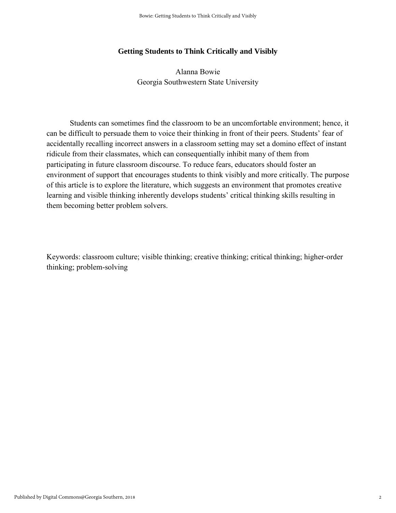## **Getting Students to Think Critically and Visibly**

Alanna Bowie Georgia Southwestern State University

Students can sometimes find the classroom to be an uncomfortable environment; hence, it can be difficult to persuade them to voice their thinking in front of their peers. Students' fear of accidentally recalling incorrect answers in a classroom setting may set a domino effect of instant ridicule from their classmates, which can consequentially inhibit many of them from participating in future classroom discourse. To reduce fears, educators should foster an environment of support that encourages students to think visibly and more critically. The purpose of this article is to explore the literature, which suggests an environment that promotes creative learning and visible thinking inherently develops students' critical thinking skills resulting in them becoming better problem solvers.

Keywords: classroom culture; visible thinking; creative thinking; critical thinking; higher-order thinking; problem-solving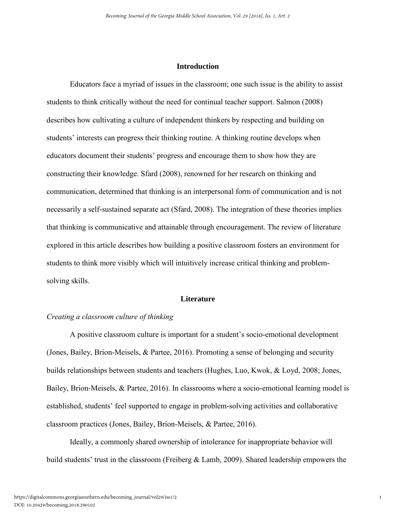#### **Introduction**

Educators face a myriad of issues in the classroom; one such issue is the ability to assist students to think critically without the need for continual teacher support. Salmon (2008) describes how cultivating a culture of independent thinkers by respecting and building on students' interests can progress their thinking routine. A thinking routine develops when educators document their students' progress and encourage them to show how they are constructing their knowledge. Sfard (2008), renowned for her research on thinking and communication, determined that thinking is an interpersonal form of communication and is not necessarily a self-sustained separate act (Sfard, 2008). The integration of these theories implies that thinking is communicative and attainable through encouragement. The review of literature explored in this article describes how building a positive classroom fosters an environment for students to think more visibly which will intuitively increase critical thinking and problemsolving skills.

#### **Literature**

#### *Creating a classroom culture of thinking*

A positive classroom culture is important for a student's socio-emotional development (Jones, Bailey, Brion-Meisels, & Partee, 2016). Promoting a sense of belonging and security builds relationships between students and teachers (Hughes, Luo, Kwok, & Loyd, 2008; Jones, Bailey, Brion-Meisels, & Partee, 2016). In classrooms where a socio-emotional learning model is established, students' feel supported to engage in problem-solving activities and collaborative classroom practices (Jones, Bailey, Brion-Meisels, & Partee, 2016).

Ideally, a commonly shared ownership of intolerance for inappropriate behavior will build students' trust in the classroom (Freiberg & Lamb, 2009). Shared leadership empowers the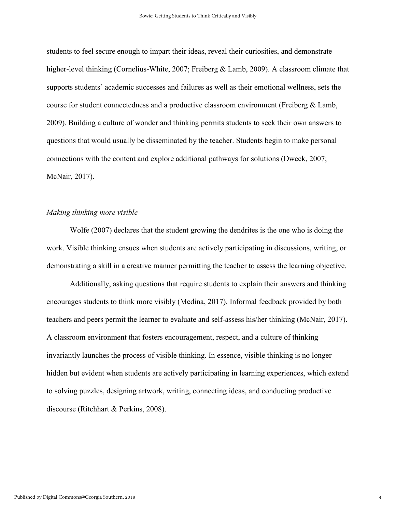students to feel secure enough to impart their ideas, reveal their curiosities, and demonstrate higher-level thinking (Cornelius-White, 2007; Freiberg & Lamb, 2009). A classroom climate that supports students' academic successes and failures as well as their emotional wellness, sets the course for student connectedness and a productive classroom environment (Freiberg & Lamb, 2009). Building a culture of wonder and thinking permits students to seek their own answers to questions that would usually be disseminated by the teacher. Students begin to make personal connections with the content and explore additional pathways for solutions (Dweck, 2007; McNair, 2017).

#### *Making thinking more visible*

Wolfe (2007) declares that the student growing the dendrites is the one who is doing the work. Visible thinking ensues when students are actively participating in discussions, writing, or demonstrating a skill in a creative manner permitting the teacher to assess the learning objective.

Additionally, asking questions that require students to explain their answers and thinking encourages students to think more visibly (Medina, 2017). Informal feedback provided by both teachers and peers permit the learner to evaluate and self-assess his/her thinking (McNair, 2017). A classroom environment that fosters encouragement, respect, and a culture of thinking invariantly launches the process of visible thinking. In essence, visible thinking is no longer hidden but evident when students are actively participating in learning experiences, which extend to solving puzzles, designing artwork, writing, connecting ideas, and conducting productive discourse (Ritchhart & Perkins, 2008).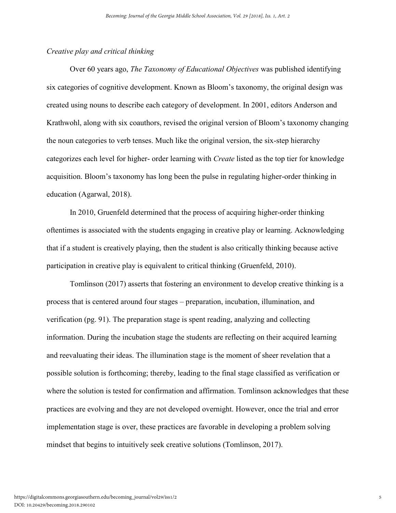### *Creative play and critical thinking*

Over 60 years ago, *The Taxonomy of Educational Objectives* was published identifying six categories of cognitive development. Known as Bloom's taxonomy, the original design was created using nouns to describe each category of development. In 2001, editors Anderson and Krathwohl, along with six coauthors, revised the original version of Bloom's taxonomy changing the noun categories to verb tenses. Much like the original version, the six-step hierarchy categorizes each level for higher- order learning with *Create* listed as the top tier for knowledge acquisition. Bloom's taxonomy has long been the pulse in regulating higher-order thinking in education (Agarwal, 2018).

In 2010, Gruenfeld determined that the process of acquiring higher-order thinking oftentimes is associated with the students engaging in creative play or learning. Acknowledging that if a student is creatively playing, then the student is also critically thinking because active participation in creative play is equivalent to critical thinking (Gruenfeld, 2010).

Tomlinson (2017) asserts that fostering an environment to develop creative thinking is a process that is centered around four stages – preparation, incubation, illumination, and verification (pg. 91). The preparation stage is spent reading, analyzing and collecting information. During the incubation stage the students are reflecting on their acquired learning and reevaluating their ideas. The illumination stage is the moment of sheer revelation that a possible solution is forthcoming; thereby, leading to the final stage classified as verification or where the solution is tested for confirmation and affirmation. Tomlinson acknowledges that these practices are evolving and they are not developed overnight. However, once the trial and error implementation stage is over, these practices are favorable in developing a problem solving mindset that begins to intuitively seek creative solutions (Tomlinson, 2017).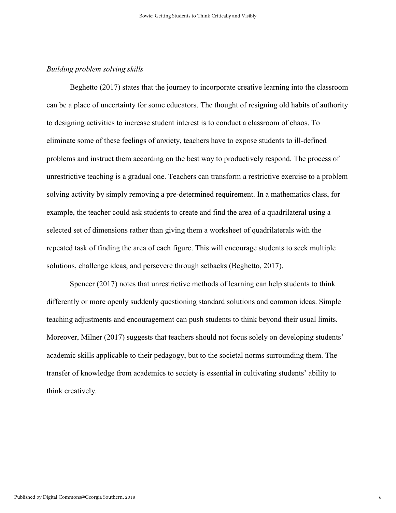#### *Building problem solving skills*

Beghetto (2017) states that the journey to incorporate creative learning into the classroom can be a place of uncertainty for some educators. The thought of resigning old habits of authority to designing activities to increase student interest is to conduct a classroom of chaos. To eliminate some of these feelings of anxiety, teachers have to expose students to ill-defined problems and instruct them according on the best way to productively respond. The process of unrestrictive teaching is a gradual one. Teachers can transform a restrictive exercise to a problem solving activity by simply removing a pre-determined requirement. In a mathematics class, for example, the teacher could ask students to create and find the area of a quadrilateral using a selected set of dimensions rather than giving them a worksheet of quadrilaterals with the repeated task of finding the area of each figure. This will encourage students to seek multiple solutions, challenge ideas, and persevere through setbacks (Beghetto, 2017).

Spencer (2017) notes that unrestrictive methods of learning can help students to think differently or more openly suddenly questioning standard solutions and common ideas. Simple teaching adjustments and encouragement can push students to think beyond their usual limits. Moreover, Milner (2017) suggests that teachers should not focus solely on developing students' academic skills applicable to their pedagogy, but to the societal norms surrounding them. The transfer of knowledge from academics to society is essential in cultivating students' ability to think creatively.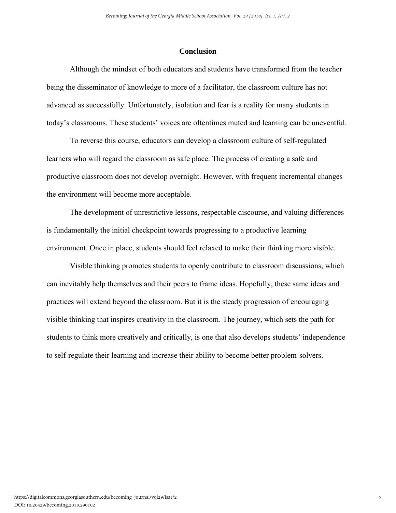#### **Conclusion**

Although the mindset of both educators and students have transformed from the teacher being the disseminator of knowledge to more of a facilitator, the classroom culture has not advanced as successfully. Unfortunately, isolation and fear is a reality for many students in today's classrooms. These students' voices are oftentimes muted and learning can be uneventful.

To reverse this course, educators can develop a classroom culture of self-regulated learners who will regard the classroom as safe place. The process of creating a safe and productive classroom does not develop overnight. However, with frequent incremental changes the environment will become more acceptable.

The development of unrestrictive lessons, respectable discourse, and valuing differences is fundamentally the initial checkpoint towards progressing to a productive learning environment. Once in place, students should feel relaxed to make their thinking more visible.

Visible thinking promotes students to openly contribute to classroom discussions, which can inevitably help themselves and their peers to frame ideas. Hopefully, these same ideas and practices will extend beyond the classroom. But it is the steady progression of encouraging visible thinking that inspires creativity in the classroom. The journey, which sets the path for students to think more creatively and critically, is one that also develops students' independence to self-regulate their learning and increase their ability to become better problem-solvers.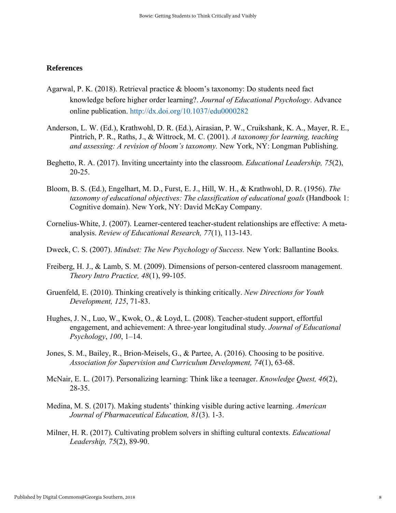#### **References**

- Agarwal, P. K. (2018). Retrieval practice & bloom's taxonomy: Do students need fact knowledge before higher order learning?. *Journal of Educational Psychology*. Advance online publication.<http://dx.doi.org/10.1037/edu0000282>
- Anderson, L. W. (Ed.), Krathwohl, D. R. (Ed.), Airasian, P. W., Cruikshank, K. A., Mayer, R. E., Pintrich, P. R., Raths, J., & Wittrock, M. C. (2001). *A taxonomy for learning, teaching and assessing: A revision of bloom's taxonomy.* New York, NY: Longman Publishing.
- Beghetto, R. A. (2017). Inviting uncertainty into the classroom. *Educational Leadership, 75*(2), 20-25.
- Bloom, B. S. (Ed.), Engelhart, M. D., Furst, E. J., Hill, W. H., & Krathwohl, D. R. (1956). *The taxonomy of educational objectives: The classification of educational goals* (Handbook 1: Cognitive domain). New York, NY: David McKay Company.
- Cornelius-White, J. (2007). Learner-centered teacher-student relationships are effective: A metaanalysis. *Review of Educational Research, 77*(1), 113-143.
- Dweck, C. S. (2007). *Mindset: The New Psychology of Success.* New York: Ballantine Books.
- Freiberg, H. J., & Lamb, S. M. (2009). Dimensions of person-centered classroom management. *Theory Intro Practice, 48*(1), 99-105.
- Gruenfeld, E. (2010). Thinking creatively is thinking critically. *New Directions for Youth Development, 125*, 71-83.
- Hughes, J. N., Luo, W., Kwok, O., & Loyd, L. (2008). Teacher-student support, effortful engagement, and achievement: A three-year longitudinal study. *Journal of Educational Psychology*, *100*, 1–14.
- Jones, S. M., Bailey, R., Brion-Meisels, G., & Partee, A. (2016). Choosing to be positive. *Association for Supervision and Curriculum Development, 74*(1), 63-68.
- McNair, E. L. (2017). Personalizing learning: Think like a teenager. *Knowledge Quest, 46*(2), 28-35.
- Medina, M. S. (2017). Making students' thinking visible during active learning. *American Journal of Pharmaceutical Education, 81*(3). 1-3.
- Milner, H. R. (2017). Cultivating problem solvers in shifting cultural contexts. *Educational Leadership, 75*(2), 89-90.